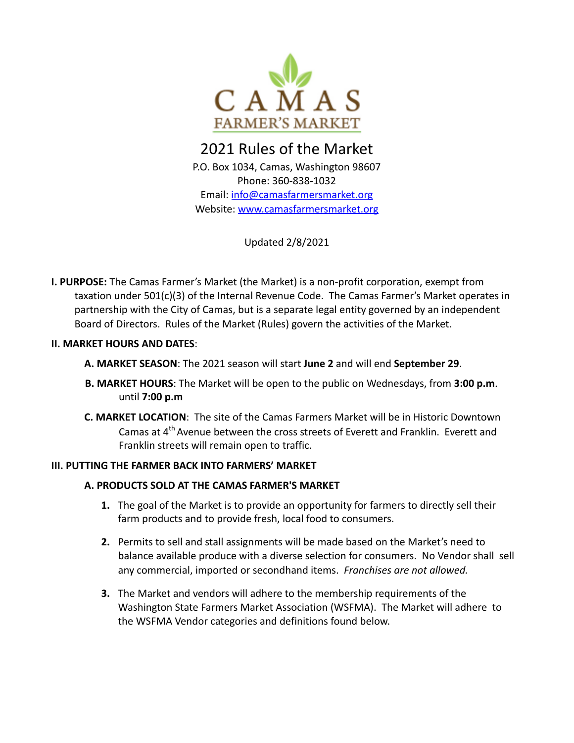

# 2021 Rules of the Market

P.O. Box 1034, Camas, Washington 98607 Phone: 360-838-1032 Email: info@camasfarmersmarket.org Website: www.camasfarmersmarket.org

Updated 2/8/2021

**I. PURPOSE:** The Camas Farmer's Market (the Market) is a non-profit corporation, exempt from taxation under 501(c)(3) of the Internal Revenue Code. The Camas Farmer's Market operates in partnership with the City of Camas, but is a separate legal entity governed by an independent Board of Directors. Rules of the Market (Rules) govern the activities of the Market.

# **II. MARKET HOURS AND DATES**:

- **A. MARKET SEASON**: The 2021 season will start **June 2** and will end **September 29**.
- **B. MARKET HOURS**: The Market will be open to the public on Wednesdays, from **3:00 p.m**. until **7:00 p.m**
- **C. MARKET LOCATION**: The site of the Camas Farmers Market will be in Historic Downtown Camas at 4<sup>th</sup> Avenue between the cross streets of Everett and Franklin. Everett and Franklin streets will remain open to traffic.

# **III. PUTTING THE FARMER BACK INTO FARMERS' MARKET**

## **A. PRODUCTS SOLD AT THE CAMAS FARMER'S MARKET**

- **1.** The goal of the Market is to provide an opportunity for farmers to directly sell their farm products and to provide fresh, local food to consumers.
- **2.** Permits to sell and stall assignments will be made based on the Market's need to balance available produce with a diverse selection for consumers. No Vendor shall sell any commercial, imported or secondhand items. *Franchises are not allowed.*
- **3.** The Market and vendors will adhere to the membership requirements of the Washington State Farmers Market Association (WSFMA). The Market will adhere to the WSFMA Vendor categories and definitions found below.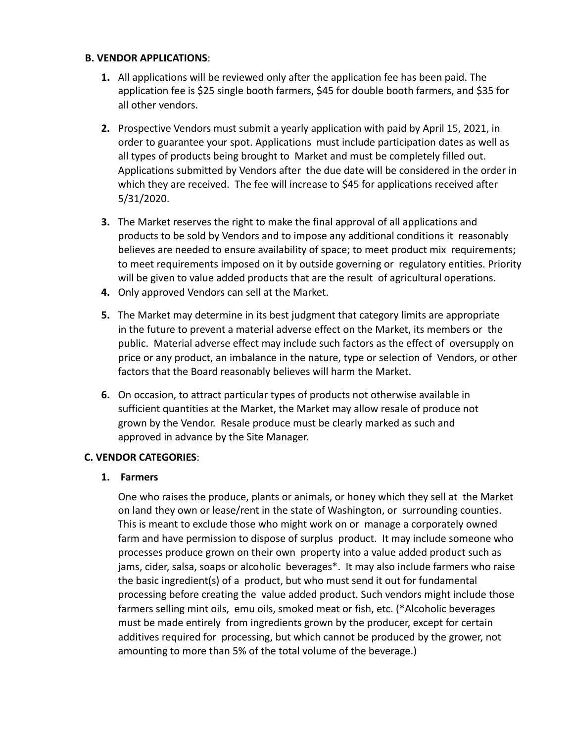## **B. VENDOR APPLICATIONS**:

- **1.** All applications will be reviewed only after the application fee has been paid. The application fee is \$25 single booth farmers, \$45 for double booth farmers, and \$35 for all other vendors.
- **2.** Prospective Vendors must submit a yearly application with paid by April 15, 2021, in order to guarantee your spot. Applications must include participation dates as well as all types of products being brought to Market and must be completely filled out. Applications submitted by Vendors after the due date will be considered in the order in which they are received. The fee will increase to \$45 for applications received after 5/31/2020.
- **3.** The Market reserves the right to make the final approval of all applications and products to be sold by Vendors and to impose any additional conditions it reasonably believes are needed to ensure availability of space; to meet product mix requirements; to meet requirements imposed on it by outside governing or regulatory entities. Priority will be given to value added products that are the result of agricultural operations.
- **4.** Only approved Vendors can sell at the Market.
- **5.** The Market may determine in its best judgment that category limits are appropriate in the future to prevent a material adverse effect on the Market, its members or the public. Material adverse effect may include such factors as the effect of oversupply on price or any product, an imbalance in the nature, type or selection of Vendors, or other factors that the Board reasonably believes will harm the Market.
- **6.** On occasion, to attract particular types of products not otherwise available in sufficient quantities at the Market, the Market may allow resale of produce not grown by the Vendor. Resale produce must be clearly marked as such and approved in advance by the Site Manager.

## **C. VENDOR CATEGORIES**:

## **1. Farmers**

One who raises the produce, plants or animals, or honey which they sell at the Market on land they own or lease/rent in the state of Washington, or surrounding counties. This is meant to exclude those who might work on or manage a corporately owned farm and have permission to dispose of surplus product. It may include someone who processes produce grown on their own property into a value added product such as jams, cider, salsa, soaps or alcoholic beverages\*. It may also include farmers who raise the basic ingredient(s) of a product, but who must send it out for fundamental processing before creating the value added product. Such vendors might include those farmers selling mint oils, emu oils, smoked meat or fish, etc. (\*Alcoholic beverages must be made entirely from ingredients grown by the producer, except for certain additives required for processing, but which cannot be produced by the grower, not amounting to more than 5% of the total volume of the beverage.)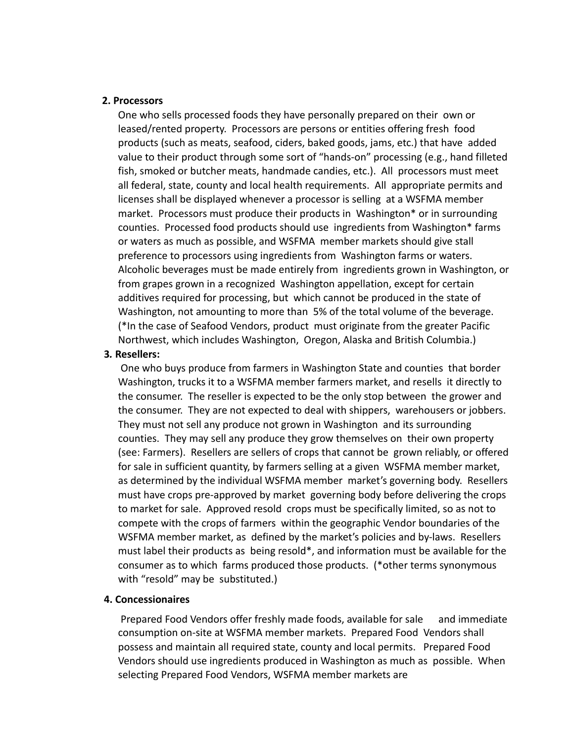#### **2. Processors**

One who sells processed foods they have personally prepared on their own or leased/rented property. Processors are persons or entities offering fresh food products (such as meats, seafood, ciders, baked goods, jams, etc.) that have added value to their product through some sort of "hands-on" processing (e.g., hand filleted fish, smoked or butcher meats, handmade candies, etc.). All processors must meet all federal, state, county and local health requirements. All appropriate permits and licenses shall be displayed whenever a processor is selling at a WSFMA member market. Processors must produce their products in Washington\* or in surrounding counties. Processed food products should use ingredients from Washington\* farms or waters as much as possible, and WSFMA member markets should give stall preference to processors using ingredients from Washington farms or waters. Alcoholic beverages must be made entirely from ingredients grown in Washington, or from grapes grown in a recognized Washington appellation, except for certain additives required for processing, but which cannot be produced in the state of Washington, not amounting to more than 5% of the total volume of the beverage. (\*In the case of Seafood Vendors, product must originate from the greater Pacific Northwest, which includes Washington, Oregon, Alaska and British Columbia.)

#### **3***.* **Resellers:**

One who buys produce from farmers in Washington State and counties that border Washington, trucks it to a WSFMA member farmers market, and resells it directly to the consumer. The reseller is expected to be the only stop between the grower and the consumer. They are not expected to deal with shippers, warehousers or jobbers. They must not sell any produce not grown in Washington and its surrounding counties. They may sell any produce they grow themselves on their own property (see: Farmers). Resellers are sellers of crops that cannot be grown reliably, or offered for sale in sufficient quantity, by farmers selling at a given WSFMA member market, as determined by the individual WSFMA member market's governing body. Resellers must have crops pre-approved by market governing body before delivering the crops to market for sale. Approved resold crops must be specifically limited, so as not to compete with the crops of farmers within the geographic Vendor boundaries of the WSFMA member market, as defined by the market's policies and by-laws. Resellers must label their products as being resold\*, and information must be available for the consumer as to which farms produced those products. (\*other terms synonymous with "resold" may be substituted.)

#### **4. Concessionaires**

Prepared Food Vendors offer freshly made foods, available for sale and immediate consumption on-site at WSFMA member markets. Prepared Food Vendors shall possess and maintain all required state, county and local permits. Prepared Food Vendors should use ingredients produced in Washington as much as possible. When selecting Prepared Food Vendors, WSFMA member markets are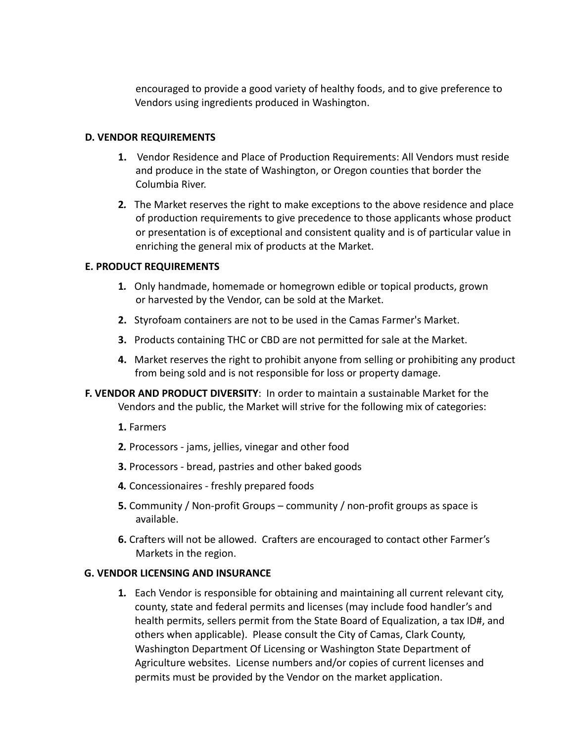encouraged to provide a good variety of healthy foods, and to give preference to Vendors using ingredients produced in Washington.

## **D. VENDOR REQUIREMENTS**

- **1.** Vendor Residence and Place of Production Requirements: All Vendors must reside and produce in the state of Washington, or Oregon counties that border the Columbia River.
- **2***.* The Market reserves the right to make exceptions to the above residence and place of production requirements to give precedence to those applicants whose product or presentation is of exceptional and consistent quality and is of particular value in enriching the general mix of products at the Market.

## **E. PRODUCT REQUIREMENTS**

- **1***.* Only handmade, homemade or homegrown edible or topical products, grown or harvested by the Vendor, can be sold at the Market.
- **2.** Styrofoam containers are not to be used in the Camas Farmer's Market.
- **3.** Products containing THC or CBD are not permitted for sale at the Market.
- **4.** Market reserves the right to prohibit anyone from selling or prohibiting any product from being sold and is not responsible for loss or property damage.
- **F. VENDOR AND PRODUCT DIVERSITY**: In order to maintain a sustainable Market for the Vendors and the public, the Market will strive for the following mix of categories:
	- **1.** Farmers
	- **2***.* Processors jams, jellies, vinegar and other food
	- **3.** Processors bread, pastries and other baked goods
	- **4***.* Concessionaires freshly prepared foods
	- **5.** Community / Non-profit Groups community / non-profit groups as space is available.
	- **6.** Crafters will not be allowed. Crafters are encouraged to contact other Farmer's Markets in the region.

# **G. VENDOR LICENSING AND INSURANCE**

**1***.* Each Vendor is responsible for obtaining and maintaining all current relevant city, county, state and federal permits and licenses (may include food handler's and health permits, sellers permit from the State Board of Equalization, a tax ID#, and others when applicable). Please consult the City of Camas, Clark County, Washington Department Of Licensing or Washington State Department of Agriculture websites. License numbers and/or copies of current licenses and permits must be provided by the Vendor on the market application.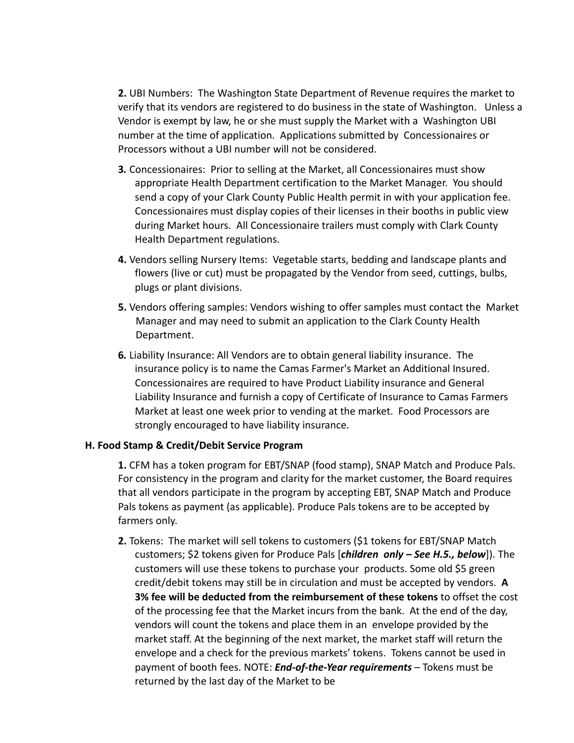**2.** UBI Numbers: The Washington State Department of Revenue requires the market to verify that its vendors are registered to do business in the state of Washington. Unless a Vendor is exempt by law, he or she must supply the Market with a Washington UBI number at the time of application. Applications submitted by Concessionaires or Processors without a UBI number will not be considered.

- **3***.* Concessionaires: Prior to selling at the Market, all Concessionaires must show appropriate Health Department certification to the Market Manager. You should send a copy of your Clark County Public Health permit in with your application fee. Concessionaires must display copies of their licenses in their booths in public view during Market hours. All Concessionaire trailers must comply with Clark County Health Department regulations.
- **4.** Vendors selling Nursery Items: Vegetable starts, bedding and landscape plants and flowers (live or cut) must be propagated by the Vendor from seed, cuttings, bulbs, plugs or plant divisions.
- **5.** Vendors offering samples: Vendors wishing to offer samples must contact the Market Manager and may need to submit an application to the Clark County Health Department.
- **6***.* Liability Insurance: All Vendors are to obtain general liability insurance. The insurance policy is to name the Camas Farmer's Market an Additional Insured. Concessionaires are required to have Product Liability insurance and General Liability Insurance and furnish a copy of Certificate of Insurance to Camas Farmers Market at least one week prior to vending at the market. Food Processors are strongly encouraged to have liability insurance.

## **H. Food Stamp & Credit/Debit Service Program**

**1.** CFM has a token program for EBT/SNAP (food stamp), SNAP Match and Produce Pals. For consistency in the program and clarity for the market customer, the Board requires that all vendors participate in the program by accepting EBT, SNAP Match and Produce Pals tokens as payment (as applicable). Produce Pals tokens are to be accepted by farmers only.

**2.** Tokens: The market will sell tokens to customers (\$1 tokens for EBT/SNAP Match customers; \$2 tokens given for Produce Pals [*children only – See H.5., below*]). The customers will use these tokens to purchase your products. Some old \$5 green credit/debit tokens may still be in circulation and must be accepted by vendors. **A 3% fee will be deducted from the reimbursement of these tokens** to offset the cost of the processing fee that the Market incurs from the bank. At the end of the day, vendors will count the tokens and place them in an envelope provided by the market staff. At the beginning of the next market, the market staff will return the envelope and a check for the previous markets' tokens. Tokens cannot be used in payment of booth fees. NOTE: *End-of-the-Year requirements* – Tokens must be returned by the last day of the Market to be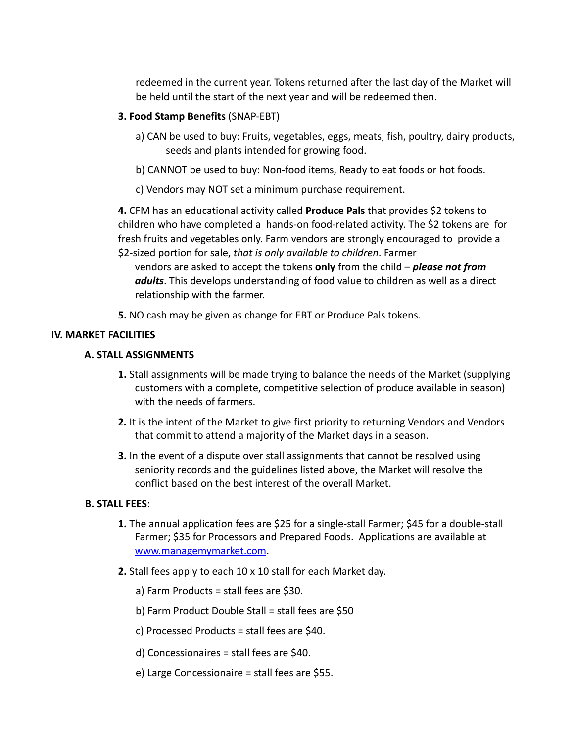redeemed in the current year. Tokens returned after the last day of the Market will be held until the start of the next year and will be redeemed then.

# **3. Food Stamp Benefits** (SNAP-EBT)

- a) CAN be used to buy: Fruits, vegetables, eggs, meats, fish, poultry, dairy products, seeds and plants intended for growing food.
- b) CANNOT be used to buy: Non-food items, Ready to eat foods or hot foods.
- c) Vendors may NOT set a minimum purchase requirement.

**4.** CFM has an educational activity called **Produce Pals** that provides \$2 tokens to children who have completed a hands-on food-related activity. The \$2 tokens are for fresh fruits and vegetables only. Farm vendors are strongly encouraged to provide a \$2-sized portion for sale, *that is only available to children*. Farmer

- vendors are asked to accept the tokens **only** from the child *please not from adults*. This develops understanding of food value to children as well as a direct relationship with the farmer.
- **5.** NO cash may be given as change for EBT or Produce Pals tokens.

## **IV. MARKET FACILITIES**

## **A. STALL ASSIGNMENTS**

- **1.** Stall assignments will be made trying to balance the needs of the Market (supplying customers with a complete, competitive selection of produce available in season) with the needs of farmers.
- **2***.* It is the intent of the Market to give first priority to returning Vendors and Vendors that commit to attend a majority of the Market days in a season.
- **3.** In the event of a dispute over stall assignments that cannot be resolved using seniority records and the guidelines listed above, the Market will resolve the conflict based on the best interest of the overall Market.

## **B. STALL FEES**:

- **1.** The annual application fees are \$25 for a single-stall Farmer; \$45 for a double-stall Farmer; \$35 for Processors and Prepared Foods. Applications are available at www.managemymarket.com.
- **2.** Stall fees apply to each 10 x 10 stall for each Market day.
	- a) Farm Products = stall fees are \$30.
	- b) Farm Product Double Stall = stall fees are \$50
	- c) Processed Products = stall fees are \$40.
	- d) Concessionaires = stall fees are \$40.
	- e) Large Concessionaire = stall fees are \$55.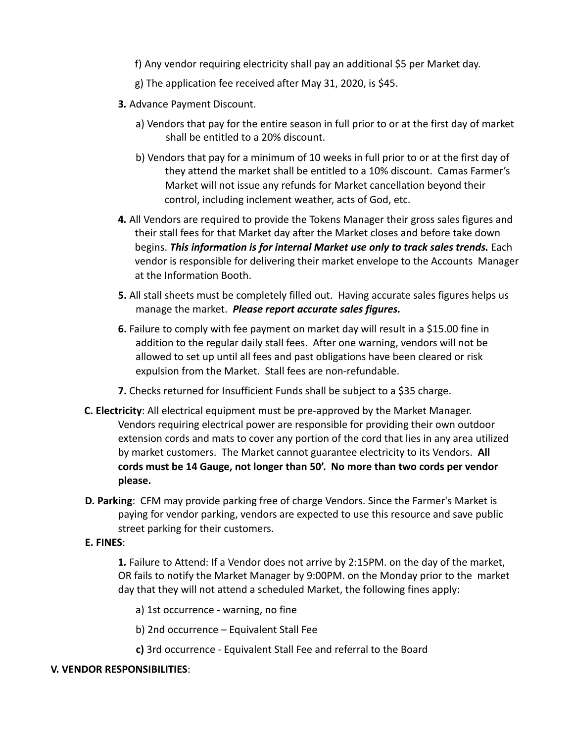- f) Any vendor requiring electricity shall pay an additional \$5 per Market day.
- g) The application fee received after May 31, 2020, is \$45.
- **3***.* Advance Payment Discount.
	- a) Vendors that pay for the entire season in full prior to or at the first day of market shall be entitled to a 20% discount.
	- b) Vendors that pay for a minimum of 10 weeks in full prior to or at the first day of they attend the market shall be entitled to a 10% discount. Camas Farmer's Market will not issue any refunds for Market cancellation beyond their control, including inclement weather, acts of God, etc.
- **4***.* All Vendors are required to provide the Tokens Manager their gross sales figures and their stall fees for that Market day after the Market closes and before take down begins. *This information is for internal Market use only to track sales trends.* Each vendor is responsible for delivering their market envelope to the Accounts Manager at the Information Booth.
- **5.** All stall sheets must be completely filled out. Having accurate sales figures helps us manage the market. *Please report accurate sales figures.*
- **6.** Failure to comply with fee payment on market day will result in a \$15.00 fine in addition to the regular daily stall fees. After one warning, vendors will not be allowed to set up until all fees and past obligations have been cleared or risk expulsion from the Market. Stall fees are non-refundable.
- **7.** Checks returned for Insufficient Funds shall be subject to a \$35 charge.
- **C. Electricity**: All electrical equipment must be pre-approved by the Market Manager. Vendors requiring electrical power are responsible for providing their own outdoor extension cords and mats to cover any portion of the cord that lies in any area utilized by market customers. The Market cannot guarantee electricity to its Vendors. **All cords must be 14 Gauge, not longer than 50'. No more than two cords per vendor please.**
- **D. Parking**: CFM may provide parking free of charge Vendors. Since the Farmer's Market is paying for vendor parking, vendors are expected to use this resource and save public street parking for their customers.

## **E. FINES**:

**1***.* Failure to Attend: If a Vendor does not arrive by 2:15PM. on the day of the market, OR fails to notify the Market Manager by 9:00PM. on the Monday prior to the market day that they will not attend a scheduled Market, the following fines apply:

a) 1st occurrence - warning, no fine

b) 2nd occurrence – Equivalent Stall Fee

**c)** 3rd occurrence - Equivalent Stall Fee and referral to the Board

## **V. VENDOR RESPONSIBILITIES**: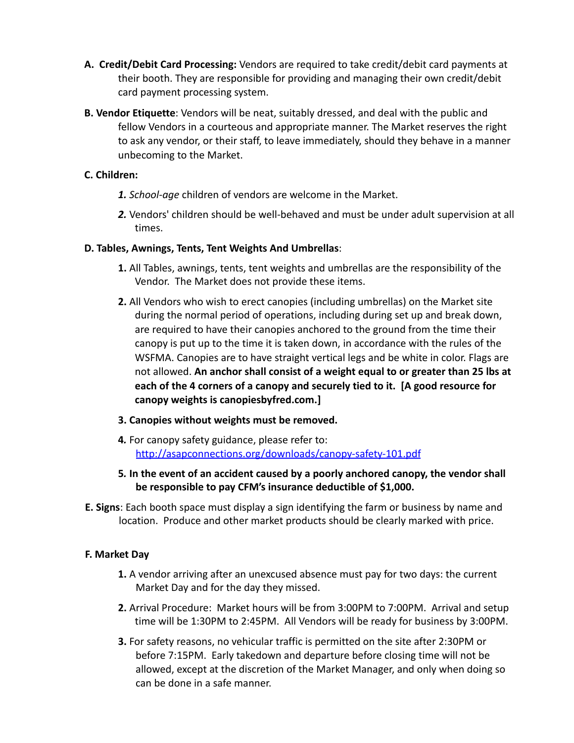- **A. Credit/Debit Card Processing:** Vendors are required to take credit/debit card payments at their booth. They are responsible for providing and managing their own credit/debit card payment processing system.
- **B. Vendor Etiquette**: Vendors will be neat, suitably dressed, and deal with the public and fellow Vendors in a courteous and appropriate manner. The Market reserves the right to ask any vendor, or their staff, to leave immediately, should they behave in a manner unbecoming to the Market.

# **C. Children:**

- *1. School-age* children of vendors are welcome in the Market.
- *2.* Vendors' children should be well-behaved and must be under adult supervision at all times.

# **D. Tables, Awnings, Tents, Tent Weights And Umbrellas**:

- **1.** All Tables, awnings, tents, tent weights and umbrellas are the responsibility of the Vendor. The Market does not provide these items.
- **2.** All Vendors who wish to erect canopies (including umbrellas) on the Market site during the normal period of operations, including during set up and break down, are required to have their canopies anchored to the ground from the time their canopy is put up to the time it is taken down, in accordance with the rules of the WSFMA. Canopies are to have straight vertical legs and be white in color. Flags are not allowed. **An anchor shall consist of a weight equal to or greater than 25 lbs at each of the 4 corners of a canopy and securely tied to it. [A good resource for canopy weights is canopiesbyfred.com.]**
- **3. Canopies without weights must be removed.**
- **4***.* For canopy safety guidance, please refer to: http://asapconnections.org/downloads/canopy-safety-101.pdf
- **5***.* **In the event of an accident caused by a poorly anchored canopy, the vendor shall be responsible to pay CFM's insurance deductible of \$1,000.**
- **E. Signs**: Each booth space must display a sign identifying the farm or business by name and location. Produce and other market products should be clearly marked with price.

# **F. Market Day**

- **1.** A vendor arriving after an unexcused absence must pay for two days: the current Market Day and for the day they missed.
- **2.** Arrival Procedure: Market hours will be from 3:00PM to 7:00PM. Arrival and setup time will be 1:30PM to 2:45PM. All Vendors will be ready for business by 3:00PM.
- **3.** For safety reasons, no vehicular traffic is permitted on the site after 2:30PM or before 7:15PM. Early takedown and departure before closing time will not be allowed, except at the discretion of the Market Manager, and only when doing so can be done in a safe manner.